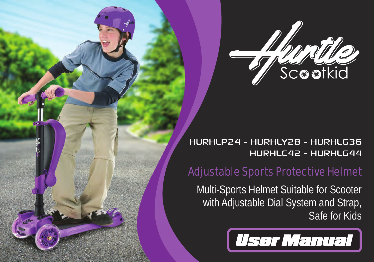

HURHLP24 - HURHLY28 - HURHLG36 HURHLC42 - HURHLG44

# Adjustable Sports Protective Helmet

Multi-Sports Helmet Suitable for Scooter with Adjustable Dial System and Strap, Safe for Kids

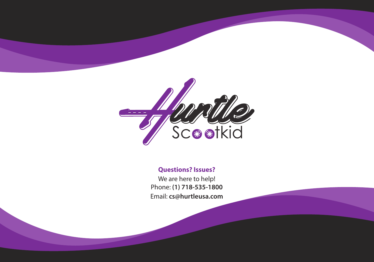

# **Questions? Issues?**

We are here to help! Phone: **(1) 718-535-1800** Email: **cs@hurtleusa.com**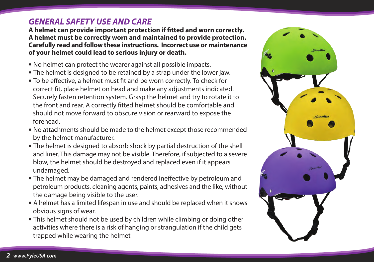# *GENERAL SAFETY USE AND CARE*

**A helmet can provide important protection if tted and worn correctly. A helmet must be correctly worn and maintained to provide protection. Carefully read and follow these instructions. Incorrect use or maintenance of your helmet could lead to serious injury or death.**

- No helmet can protect the wearer against all possible impacts.
- The helmet is designed to be retained by a strap under the lower jaw.
- To be effective, a helmet must fit and be worn correctly. To check for correct fit, place helmet on head and make any adjustments indicated. Securely fasten retention system. Grasp the helmet and try to rotate it to the front and rear. A correctly fitted helmet should be comfortable and should not move forward to obscure vision or rearward to expose the forehead.
- No attachments should be made to the helmet except those recommended by the helmet manufacturer.
- The helmet is designed to absorb shock by partial destruction of the shell and liner. This damage may not be visible. Therefore, if subjected to a severe blow, the helmet should be destroyed and replaced even if it appears undamaged.
- The helmet may be damaged and rendered ineffective by petroleum and petroleum products, cleaning agents, paints, adhesives and the like, without the damage being visible to the user.
- A helmet has a limited lifespan in use and should be replaced when it shows obvious signs of wear.
- This helmet should not be used by children while climbing or doing other activities where there is a risk of hanging or strangulation if the child gets trapped while wearing the helmet

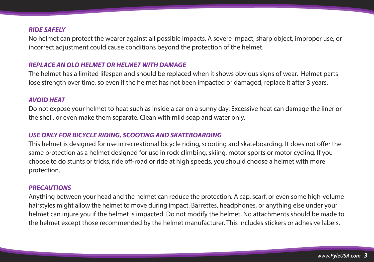#### *RIDE SAFELY*

No helmet can protect the wearer against all possible impacts. A severe impact, sharp object, improper use, or incorrect adjustment could cause conditions beyond the protection of the helmet.

#### *REPLACE AN OLD HELMET OR HELMET WITH DAMAGE*

The helmet has a limited lifespan and should be replaced when it shows obvious signs of wear. Helmet parts lose strength over time, so even if the helmet has not been impacted or damaged, replace it after 3 years.

#### *AVOID HEAT*

Do not expose your helmet to heat such as inside a car on a sunny day. Excessive heat can damage the liner or the shell, or even make them separate. Clean with mild soap and water only.

#### *USE ONLY FOR BICYCLE RIDING, SCOOTING AND SKATEBOARDING*

This helmet is designed for use in recreational bicycle riding, scooting and skateboarding. It does not offer the same protection as a helmet designed for use in rock climbing, skiing, motor sports or motor cycling. If you choose to do stunts or tricks, ride off-road or ride at high speeds, you should choose a helmet with more protection.

#### *PRECAUTIONS*

Anything between your head and the helmet can reduce the protection. A cap, scarf, or even some high-volume hairstyles might allow the helmet to move during impact. Barrettes, headphones, or anything else under your helmet can injure you if the helmet is impacted. Do not modify the helmet. No attachments should be made to the helmet except those recommended by the helmet manufacturer. This includes stickers or adhesive labels.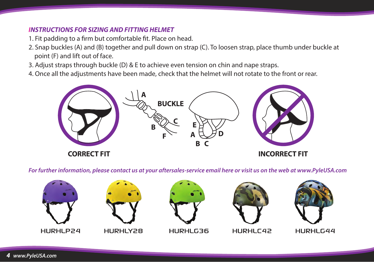# *INSTRUCTIONS FOR SIZING AND FITTING HELMET*

- 1. Fit padding to a firm but comfortable fit. Place on head.
- 2. Snap buckles (A) and (B) together and pull down on strap (C). To loosen strap, place thumb under buckle at point (F) and lift out of face.
- 3. Adjust straps through buckle (D) & E to achieve even tension on chin and nape straps.
- 4. Once all the adjustments have been made, check that the helmet will not rotate to the front or rear.



*For further information, please contact us at your aftersales-service email here or visit us on the web at www.PyleUSA.com*



**HURHLY28** 



HURHLG36



HURHLC42



**HURHLG44**